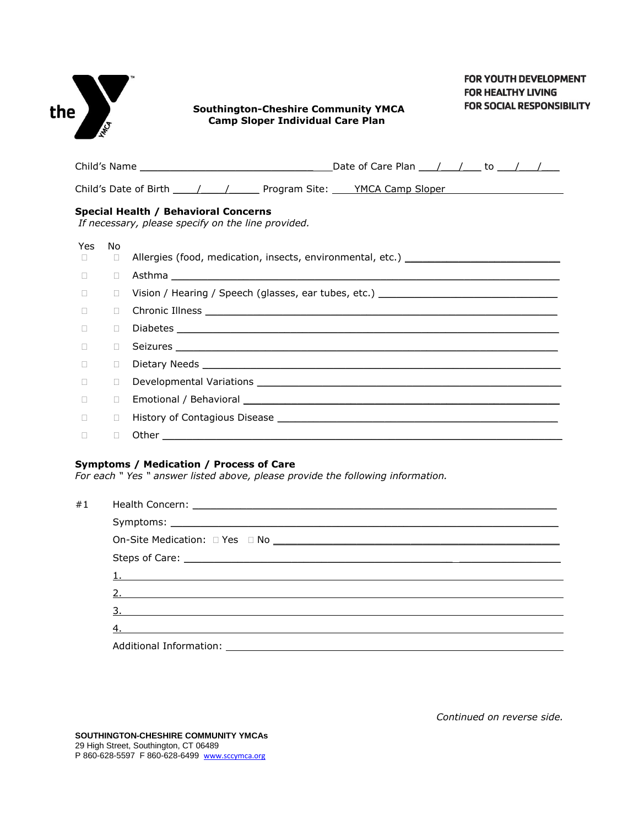| the | INTEG  |        | <b>FOR YOUTH DEVELOPMENT</b><br><b>FOR HEALTHY LIVING</b><br><b>FOR SOCIAL RESPONSIBILITY</b><br><b>Southington-Cheshire Community YMCA</b><br><b>Camp Sloper Individual Care Plan</b>                                         |
|-----|--------|--------|--------------------------------------------------------------------------------------------------------------------------------------------------------------------------------------------------------------------------------|
|     |        |        | Child's Name $\_\_\_\_\_\_\_\_\_\_\_$                                                                                                                                                                                          |
|     |        |        |                                                                                                                                                                                                                                |
|     |        |        | Special Health / Behavioral Concerns<br>If necessary, please specify on the line provided.                                                                                                                                     |
|     | Yes.   | No.    |                                                                                                                                                                                                                                |
|     | $\Box$ | $\Box$ | Allergies (food, medication, insects, environmental, etc.) ______________________                                                                                                                                              |
|     | П.     | П.     |                                                                                                                                                                                                                                |
|     | $\Box$ | П.     | Vision / Hearing / Speech (glasses, ear tubes, etc.) ___________________________                                                                                                                                               |
|     | $\Box$ | П.     |                                                                                                                                                                                                                                |
|     | п      | П.     |                                                                                                                                                                                                                                |
|     | $\Box$ | $\Box$ |                                                                                                                                                                                                                                |
|     | п      | П.     |                                                                                                                                                                                                                                |
|     | $\Box$ | $\Box$ |                                                                                                                                                                                                                                |
|     | П      | $\Box$ |                                                                                                                                                                                                                                |
|     | п      | $\Box$ | History of Contagious Disease and the control of the control of the control of the control of the control of the control of the control of the control of the control of the control of the control of the control of the cont |
|     | П      | п      |                                                                                                                                                                                                                                |

## **Symptoms / Medication / Process of Care**

*For each " Yes " answer listed above, please provide the following information.*

| #1 |                                        |  |  |  |
|----|----------------------------------------|--|--|--|
|    |                                        |  |  |  |
|    |                                        |  |  |  |
|    |                                        |  |  |  |
|    | $\mathbf{1}$ .                         |  |  |  |
|    |                                        |  |  |  |
|    |                                        |  |  |  |
|    | 4.                                     |  |  |  |
|    | Additional Information: ______________ |  |  |  |

*Continued on reverse side.*